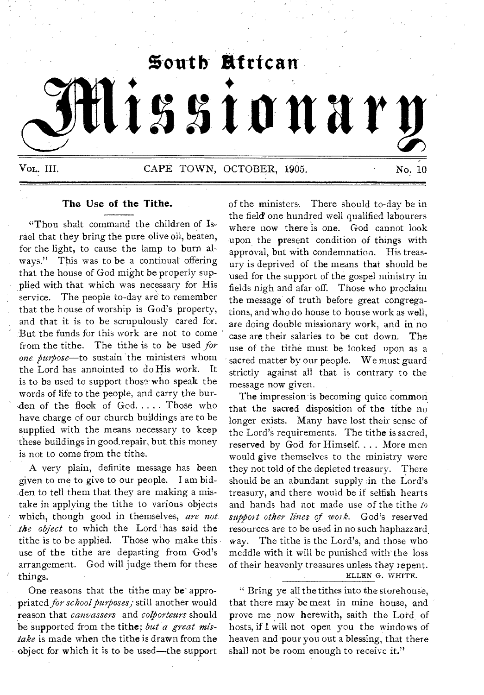

## **The Use of the Tithe.**

"Thou shalt command the children of Israel that they bring the pure olive oil, beaten, for the light, to cause the lamp to burn always." This was to be a continual offering that the house of God might be properly supplied with that which was necessary for His service. The people to-day are to remember that the house of worship is God's property, and that it is to be scrupulously cared for. But the funds for this work are not to come from the tithe. The tithe is to be used *for one purpose—to* sustain the ministers whom the Lord has annointed to do His work. It is to be used to support those who speak the words of life to the people, and carry the burden of the flock of  $God. \ldots$ . Those who have, charge of our church buildings are to be supplied with the means necessary to keep these buildings in good repair, but this money is not to come from the tithe.

A very plain, definite message has been given to me to give to our people. I am bidden to tell them that they are making a mistake in applying the tithe to various objects which, though good in themselves, are not. *the object* to which the Lord has said the tithe is to be applied. Those who make this use of the tithe are departing from God's arrangement. God will judge them for these things.

One reasons that the tithe may be appropriated *for school purposes;* still another would reason that *canvassers* and *colporteurs* should be supported from the tithe; *but a great mistake* is made when the tithe is drawn from the object for which it is to be used—the support of the ministers. There should to-day be in the field one hundred well qualified labourers where now there is one. God cannot look upon the present condition of things with approval, but with condemnation. His treasury is deprived of the means that should be used for the support of the gospel ministry in fields nigh and afar off. Those who proclaim the message of truth before great congregations, and who do house to house work as well, are doing double missionary work, and in no case are their salaries to be cut down. The use of the tithe must be looked upon as a sacred matter by our people. We must guard strictly against all that is contrary to the message now given.

The impression-is becoming quite common. that the sacred disposition of the tithe no longer exists. Many have lost their sense of the Lord's requirements. The tithe is sacred, reserved by God for Himself. . . . More men would give themselves to the ministry were they not told of the depleted treasury. There should be an abundant supply in the Lord's treasury, and there would be if selfish hearts and hands had not made use of the tithe *to support other lines of work.* God's reserved resources are to be used in no such haphazzard way. The tithe is the Lord's, and those who meddle with it will be punished with the loss of their heavenly treasures unless they repent. ELLEN G. WHITE.

Bring ye all the tithes into the storehouse, that there may be meat in mine house, and prove me now herewith, saith the Lord of hosts, if I will not open you the windows of heaven and pour you out a blessing, that there shall not be room enough to receive it."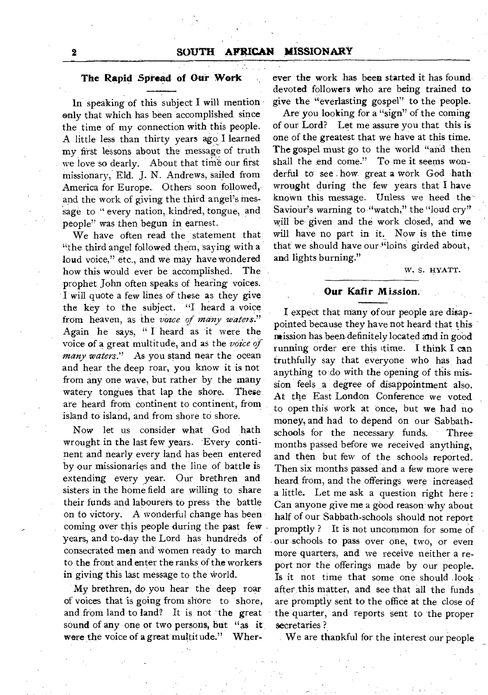## **The Rapid Spread of Our Work**

In speaking of this subject I will mention only that which has been accomplished since the time of my connection with this people. A little less than thirty years ago I learned my first lessons about the message of truth we love so dearly. About that time our first missionary, Eld. J. N. Andrews, sailed from America for Europe. Others soon followed, and the work of giving the third angel's message to "every nation, kindred, tongue, and people" was then begun in earnest.

We have often read the statement that "the third angel followed them, saying with a loud voice," etc., and we may have wondered how this would ever be accomplished. The prophet John often speaks of hearing voices. I will quote a few lines of these as they give the key to the subject. "I heard a voice from heaven, as the *voice of many waters."*  Again he says, " I heard as it were the voice of a great multitude, and as the *voice of many waters."* As you stand near the ocean and hear the deep roar, you know it is not from any one wave, but rather by the many watery tongues that lap the shore. These are heard from continent to continent, from island to island, and from shore to shore.

Now let us consider what God hath wrought in the last few years. Every continent and nearly every land has been entered by our missionaries and the line of battle is extending every year. Our brethren and sisters in the home field are willing to share their funds and labourers to press the battle on to victory. A wonderful change has been coming over this people during the past few years, and to-day the Lord has hundreds of consecrated men and women ready to march to the front and enter the ranks of the workers in giving this last message to the world.

My brethren, do you hear the deep roar of voices that is going from shore to shore, and from land to land? It is not the great sound of any one or two persons, but "as it were the voice of a great multitude." Wherever the work has bees started it has found devoted followers who are being trained to give the "everlasting gospel" to the people.

Are you looking for a "sign" of the coming of our Lord? Let me assure you that this **is**  one of the greatest that we have at this time. The gospel must go to the world "and then shall the end come." To me it seems wonderful to see how great a work God hath wrought during the few years that I have known this message. Unless we heed the Saviour's warning to "watch," the "loud cry" will be given and the work closed, and we will have no part in it. Now is the time that we should have our "loins girded about, and lights burning."

W. S. HYATT.

#### **Our Kafir Mission.**

I expect that many of our people are disappointed because they have not heard that this mission has been definitely located and in good running order ere this time. I think I can truthfully say that everyone who has had anything to do with the opening of this mission feels a degree of disappointment also. At the East London Conference we voted to open this work at once, but we had no money, and had to depend on our Sabbathschools for the necessary funds. Three months passed before we received anything, and then but few of the schools reported. Then six months passed and a few more were heard from, and the offerings were increased a little. Let me ask a question right here : Can anyone give me a good reason why about half of our Sabbath-schools should not report promptly ? It is not uncommon for some of our schools to pass over one, two, or even more quarters, and we receive neither a report nor the offerings made by our people. Is it not time that some one should look after this matter, and see that all the funds are promptly sent to the office at the close of the quarter, and reports sent to 'the proper secretaries ?

We are thankful for the interest our people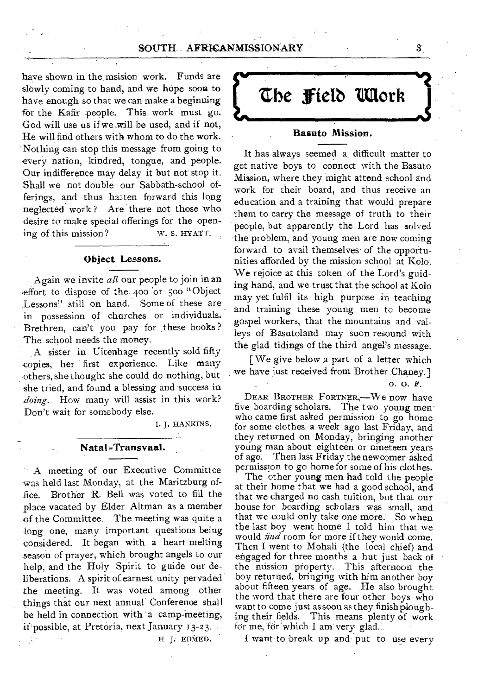have shown in the msision work. Funds are slowly coming to hand, and we hope soon to have enough so that we can make a beginning for the Kafir people. This work must go. God will use us if we .will be used, and if not, He will find others with whom to do the work. Nothing can stop this message from going to every nation, kindred, tongue, and people. Our indifference may delay it **but** not stop it. Shall we not double our Sabbath-school offerings, and thus ha2ten forward this long neglected work ? Are there not those who desire to make special offerings for the opening of this mission? w. S. HYATT.

# **Object Lessons.**

Again we invite *all* our people to join in an effort to dispose of the 400 or 500 "Object Lessons" still on hand. Some of these are in possession of churches or individuals. Brethren, can't you pay for these books? The school needs the money.

A sister in Uitenhage recently sold fifty copies, her first experience. Like many others, she thought she could do nothing, but she tried, and found a blessing and success in *doing.* How many will assist in this work? Don't wait for somebody else.

I. J. HANKINS.

#### **Natal -Transvaal.**

A meeting of our Executive Committee was held last Monday, at the Maritzburg office. Brother **R.** Bell was voted to fill the place vacated by Elder Altman as a member of the Committee. The meeting was quite a long one, many important questions being considered. It began with **a** heart melting season of prayer, which brought angels to our help, and the Holy Spirit to guide our deliberations. A spirit of earnest unity pervaded the meeting. It was voted among other things that our next annual Conference shall be held in connection with a camp-meeting, if possible, at Pretoria, next January 13-23.

H J. EDMED.

**گ**ے **the fietb Moth** 

#### **Basuto Mission.**

It has always seemed a difficult matter to get native boys to connect with the Basuto Mission, where they might attend school and work for their board, and thus receive an education and a training that would prepare them to carry the message of truth to their people, but apparently the Lord has solved the problem, and young men are now coming forward to avail themselves of the opportunities afforded by the mission school at Kolo. **We** rejoice at this token of the Lord's guiding hand, and we trust that the school at Kolo may yet fulfil its high purpose in teaching and training these young men to become gospel workers, that the mountains and valleys of Basutoland may soon resound with the glad tidings of the third angel's message.

[We give below a part of a letter which we have just received from Brother Chaney.]

o. O. *F.* 

DEAR BROTHER FORTNER,-We now have five boarding scholars. The two young menwho came first asked permission to go home for some clothes a week ago last Friday, and they returned on Monday, bringing another young man about eighteen or nineteen years of age. Then last Friday the newcomer asked permission to go home for some of his clothes.

The other young men had told the people at their home that we had a good school, and that we charged no cash tuition, but that our house for boarding scholars was small, and that we could only take one more. So when the last boy went home I told him that we would *find* room for more if they would come. Then I went to Mohali (the local chief) and engaged for three months a hut just back of the mission property. This afternoon the boy returned, bringing with him another boy about fifteen years of age. He also brought the word that there are four other boys who want to come just as soon as they finish ploughing their fields. This means plenty of work for me, for which I am very glad.

I want to break up and put to use every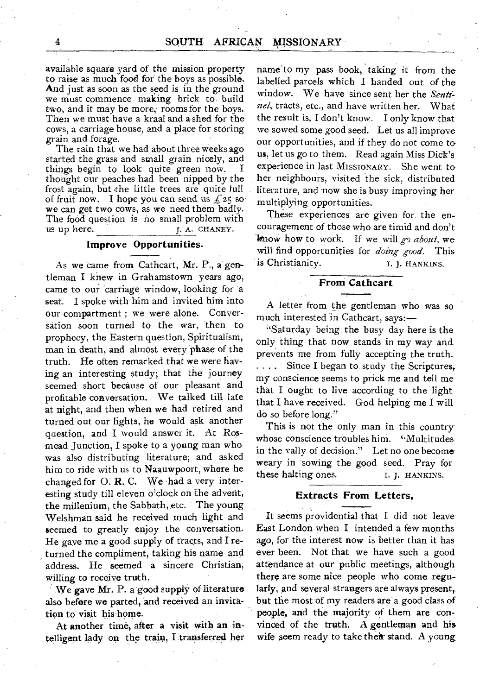available square yard of the mission property to raise as much food for the boys as possible. And just as soon as the seed is in the ground we must commence making brick to build two, and it may be more, rooms for the boys. Then we must have a kraal and a shed for the cows, a carriage house, and a place for storing grain and forage.

The rain that we had about three weeks ago started the grass and small grain nicely, and things begin to look quite green now. I thought our peaches had been nipped by the frost again, but the little trees are quite full of fruit now. I hope you can send us  $f_2$ 5 so. we can get two cows, as we need them badly. The food question is no small problem with us up here.  $I$ , A. CHANEY. L. A. CHANEY.

# Improve **Opportunities.**

As we came from Cathcart, Mr. P., a gentleman I knew in Grahamstown years ago, came to our carriage window, looking for a seat. I spoke with him and invited him into our compartment ; we were alone. Conversation soon turned to the war, 'then to prophecy, the Eastern question, Spiritualism, man in death, and almost every phase of the truth. He often remarked that we were having an interesting study; that the' journey seemed short because of our pleasant and profitable conversation. We talked till late at night, and then when we had retired and turned out our lights, he would ask another question, and I would answer it. At Rosmead Junction, I spoke to a young man who was also distributing literature, and asked him to ride with us to Naauwpoort, where he changed for 0. **R.** C. We 'had a very interesting study till eleven o'clock on the advent, the millenium, the Sabbath, etc. The young Welshman said he received much light and seemed to greatly enjoy the conversation. He gave me a good supply of tracts, and I returned the compliment, taking his name and address. He seemed a sincere Christian, willing to receive truth.

We gave Mr. P. a good supply of literature also before we parted, and received an invitation to visit his home.

At another time, after a visit with an intelligent lady on the train, I transferred her

name to my pass book, taking it from the labelled parcels which I handed out of the window. We have since sent her the *Sentinel,* tracts, etc., and have written her. What the result is, I don't know. I only know that we sowed some good seed. Let us all improve our opportunities, and if they do not come to us, let us go to them. Read again Miss Dick's experience in last MISSIONARY. She went to her neighbours, visited the sick, distributed literature, and now she is busy improving her multiplying opportunities.

These experiences are given for the encouragement of those who are timid and don't `know how to work. If we will *go about,* we will find opportunities for *doing- good.* This is Christianity. T. J. HANKINS.

#### **From Cathcart**

A letter from the gentleman who was so much interested in Cathcart, says:—

"Saturday being the busy day here is the only thing that now stands in my way and prevents me from fully accepting the truth. .... Since I began to study the Scriptures, my conscience seems to prick me and tell me that I ought to live according to the light that I have received. God helping me I will do so before long."

This is not the only man in this country whose conscience troubles him. "Multitudes in the wally of decision." Let no one become weary in 'sowing, the good seed. Pray for these halting ones. I. J. HANKINS.

#### **Extracts From Letters.**

It seems providential that I did not leave-East London when **I** intended a few months ago, for the interest now is better than it has ever been. Not that we have such a good attendance at our public meetings, although there are some nice people who come regularly, and several strangers are always present, but the most of my readers are a good class of people, and the majority of them are convinced of the truth. A gentleman and his wife seem ready to take their stand. A young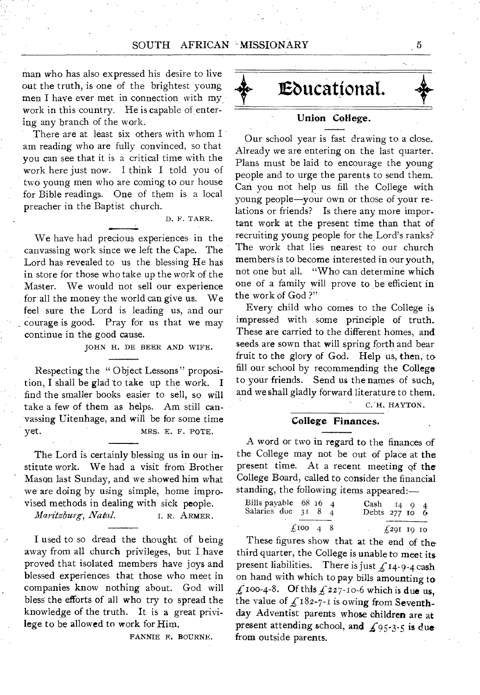man who has also expressed his desire to live out the truth, is one of the brightest young men I have ever met in connection with my work in this country. He is capable of entering any branch of the work.

There are at least six others with whom I am reading who are fully convinced, so that you can see that it is a critical time with the work here just now. I think I told you of two young men who are coming to our house for Bible readings. One of them is a local preacher in the Baptist church.

D. F. TARR.

We have had precious experiences in the canvassing work since we left the Cape. The Lord has revealed to us the blessing He has in store for those who take up the work of the Master. We would not sell our experience for all the money the world can give us. We feel sure the Lord is leading us, and our courage is good. Pray for us that we may continue in the good cause.

JOHN H. DE BEER AND WIFE.

Respecting the " Object Lessons" proposition, I shall be glad to take up the work. I find the smaller books easier to sell, so will take a few of them as helps. Am still canvassing Uitenhage, and will be for some time yet. MRS. E. F. POTE.

The Lord is certainly blessing us in our institute work. We had a visit from Brother Mason last Sunday, and we showed him what we are doing by using simple, home improvised methods in dealing with sick people.

*Maritzburg, Natal.* **I. R. ARMER.** 

I used to so dread the thought of being away from all church privileges, but I have proved that isolated members have joys and blessed experiences that those who meet in companies know nothing about. God will bless the efforts of all who try to spread the knowledge of the truth. It is a great privilege to be allowed to work for Him.

FANNIE E. BOURNE.

**Ebucatiottat.** 

# **Union College.**

Our school year is fast drawing to a close.. Already we are entering on the last quarter. Plans must be laid to encourage the young people and to urge the parents to send them. Can you not help us fill the College with young people—your own or those of your relations or friends? Is there any more important work at the present time than that of recruiting young people for the Lord's ranks? The work that lies nearest to our church members is to become interested in our youth, not one but all. "Who can determine which one of a family will prove to be efficient in the work of God ?"

Every child who comes to the College is impressed with some principle of truth. These are carried to the different homes, and seeds are sown that will spring forth and bear fruit to the glory of God. Help us, then, to fill our school by recommending the College to your friends. Send us the names of such, and we shall gladly forward literature to them.

C. H. HAYTON.

#### **College Finances.**

A word or two in regard to the finances of the College may not be out of place at the present time. At a recent meeting of the College Board, called to consider the financial standing, the following items appeared:—

| Bills payable $68$ 16 4<br>Salaries due 31 8 4 |                |  | Cash $14 \t9 \t4$<br>Debts 277 10 6 |  |
|------------------------------------------------|----------------|--|-------------------------------------|--|
|                                                | $f100 \t4 \t8$ |  | $\pm 29I$ 10 10                     |  |

These figures show that at the end of the third quarter, the College is unable to meet its present liabilities. There is just  $f_1$  14-9-4 cash on hand with which to pay bills amounting to  $\hat{L}$  100-4-8. Of this  $\hat{L}$  227-10-6 which is due us, the value of  $\text{\LARGE}_{2}$ 182-7-I is owing from Seventhday Adventist parents whose children are at present attending school, and  $f_{95-3-5}$  is due from outside parents.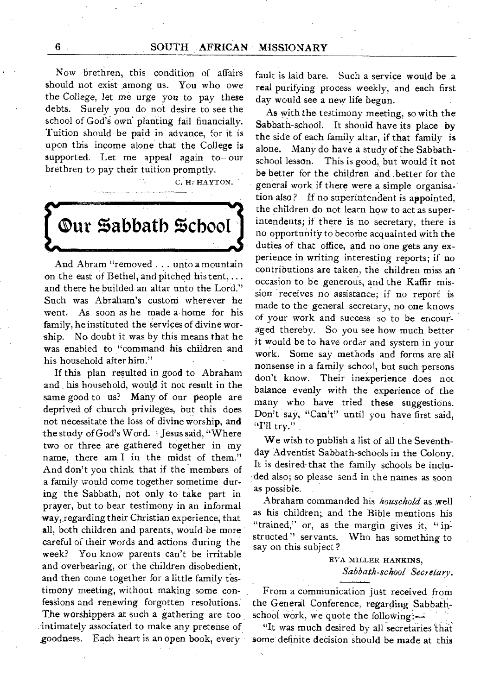# 6 SOUTH AFRICAN MISSIONARY

Now brethren, this condition of affairs should not exist among us. You who owe the College, let me urge you to pay these debts. Surely you do not desire to see the school of God's own planting fail financially. Tuition should be paid in advance, for it is upon this income alone that the College is supported. Let me appeal again to-our brethren to pay their tuition promptly.

C. H: HAYTON.

**Our %abbath %choot** 

And Abram "removed . . . unto a mountain on the east of Bethel, and pitched his tent, ... and there he builded an altar unto the Lord." Such was Abraham's custom wherever he went. As soon as he made a home for his family, he instituted the services of divine worship. No doubt it was by this means that he was enabled to "command his children and his household after him."

If this plan resulted in good to Abraham and his household, would it not result in the same good to us? Many of our people are deprived of church privileges, but this does not necessitate the loss of divine worship, and the study of God's Word. Jesus said, "Where two or three are gathered together in my name, there am I in the midst of them." And don't you think that if the members of a family would come together sometime during the Sabbath, not only to take part in prayer, but to bear testimony in an informal way, regarding their Christian experience, that all, both children and parents, would be more careful of their words and actions during the week? You know parents can't be irritable and overbearing, or the children disobedient, and then come together for a little family testimony meeting, without making- some confessions and renewing forgotten resolutions. The worshippers at such a gathering are too intimately associated to make any pretense of goodness. Each heart is an open book, every fault is laid bare. Such a service would be a real purifying process weekly, and each first day would see a new life begun.

As with the- testimony meeting, so with the Sabbath-school. It should have its place by the side of each family altar, if that family is alone. Many do have a study of the Sabbathschool lesson. This is good, but would it not be better for the children and . better for the general work if there were a simple organisation also? If no superintendent is appointed, the children do not learn how to act as superintendents; if there is no secretary, there is no opportunity to become acquainted with the duties of that office, and no one gets any experience in writing interesting reports; if no contributions are taken, the children miss an occasion to be generous, and the Kaffir mission receives no assistance; if no report is made to the general secretary, no one knows of your work and success so to be encouraged thereby. So you see how much better it would be to have order and system in your work. Some say methods and forms are all nonsense in a family school, but such persons don't know. Their inexperience does not balance *evenly* with the experience of the many who have tried these suggestions. Don't say, "Can't" until you have first said, "I'll try."

We wish to publish a list of all the Seventhday Adventist Sabbath-schools in the Colony. It is desired- that the family schools be included also; so please send in the names as soon as possible.

Abraham commanded his *household* as well as his children; and the Bible mentions his "trained," or, as the margin gives it, "in-<br>structed" servants. Who has something to Who has something to say on this subject?

> EVA MILLER HANKINS, *Sabbath-school Secretary:*

From a communication just received from the General Conference, regarding Sabbathschool work, we quote the following:—:

"It was much desired by all secretaries 'that some definite decision should be made at this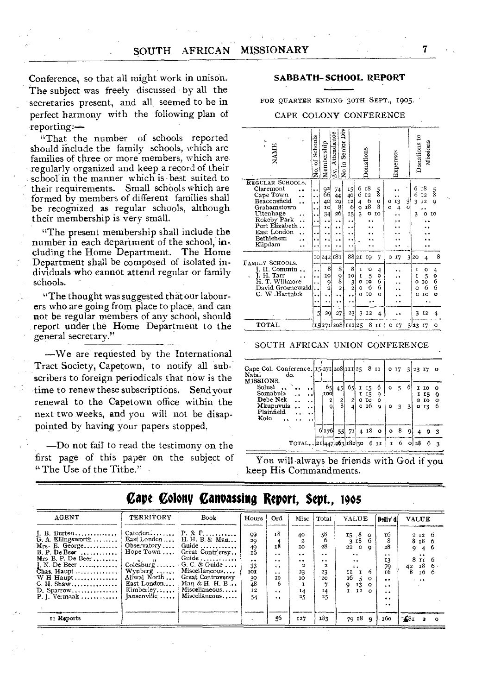Conference, so that all, might work in unison. The subject was freely discussed by all the secretaries present, and all seemed to be in perfect harmony with the following plan of reporting:—

"That the number of schools reported should include the family schools, which are families of three or more members, which are regularly organized and keep a record of their school in the manner which is best suited to their requirements. Small schools which are formed by members of different families shall be recognized as regular schools, although their membership is very small.

"The present membership shall include the number in each department of the school, including the Home Department. The Home Department shall be composed of isolated individuals who cannot attend regular or family schools.

"The thought was suggested that our labourers who are going from place to place, and can not be regular members of any school, should report under the Home Department to the general secretary."

—We are requested by the International Tract Society, Capetown, to notify all subscribers to foreign periodicals that now is the time to renew these subscriptions. Send your renewal to the Capetown office within the next two weeks, and you will not be disappointed by having your papers stopped.

—Do not fail to read the testimony on the first page of this paper on the subject of You will-always be friends with God if you<br>"The Use of the Tithe." keep His Commandments.

#### **SABBATH-SCHOOL** REPORT

FOR QUARTER ENDING 30TH SEPT., 1905.

CAPE COLONY CONFERENCE

| NAME                                                                                                                                                           | Schools<br>F<br>ż                                    | Membership                              | å<br>Attendance<br>in Senior<br>$\frac{1}{2}$<br>ΙĀν.                   |                                               |                                                   | Donations                                   |                                       | Expenses                |               | Donations to                     | Missions                           |                                 |
|----------------------------------------------------------------------------------------------------------------------------------------------------------------|------------------------------------------------------|-----------------------------------------|-------------------------------------------------------------------------|-----------------------------------------------|---------------------------------------------------|---------------------------------------------|---------------------------------------|-------------------------|---------------|----------------------------------|------------------------------------|---------------------------------|
| REGULAR SCHOOLS,<br>Claremont<br>Cape Town<br>Beaconsfield<br>Grahamstown<br>Uitenhage<br>Rokeby Park<br>Port Elizabeth<br>East London<br>Bethlehem<br>Klipdam | <br>. .<br>$\ddot{\phantom{1}}$<br>. .<br>. .<br>. . | 92<br>66<br>40<br>I0<br>34<br>. .<br>٠. | 74<br>44<br>29<br>8<br>26<br>٠.<br>$\ddot{\phantom{a}}$<br>٠.           | 15<br>40<br>12<br>6<br>15<br>. .              | 6<br>6<br>4<br>ö<br>$\overline{\mathbf{3}}$       | 18<br>12<br>$\frac{6}{18}$<br>$\circ$       | $\frac{5}{8}$<br>o<br>8<br>10         | 13<br>o<br>$\circ$<br>4 | $\frac{3}{2}$ | 6<br>6<br>3<br>3                 | ΄18<br>I <sub>2</sub><br>12<br>o   | $\frac{5}{8}$<br>9<br>10        |
| FAMILY SCHOOLS.<br>Commin<br>H. Tarr<br>T. Willmore<br>David Groenewald<br>C. W.Hartnick                                                                       | . .<br>. .<br>5                                      | 8<br>ιc<br>9<br>$\overline{a}$<br>20    | 10 242 181<br>8<br>9<br>8<br>$\overline{\mathbf{z}}$<br>٠.<br>. .<br>27 | 88 21<br>8<br>10<br>3<br>$\overline{a}$<br>23 | $\mathbf{I}$<br>I<br>o<br>$\circ$<br>$\circ$<br>3 | IQ.<br>o<br>5<br>IO<br>6<br><b>TO</b><br>12 | 7<br>4<br>o<br>6<br>6<br>$\circ$<br>4 | 17<br>o                 | 3             | 20<br>I<br>I<br>o<br>Ó<br>Ó<br>3 | 4<br>o<br>5<br>IO<br>6<br>IO<br>I2 | 8<br>4<br>o<br>6<br>6<br>o<br>4 |
| TOTAL                                                                                                                                                          |                                                      |                                         |                                                                         | i15 271 208 111 25                            |                                                   | 8                                           | II                                    | 17<br>o                 |               | 3/23 17                          |                                    | o                               |

SOUTH AFRICAN UNION CONFERENCE

| Cape Col. Conference. 15271 208 111 25 8 11<br>Natal<br>do.<br>MISSIONS. |                   |                   |                   |   |              |              |         | 017312317      |   |      |                                    | $\bullet$    |
|--------------------------------------------------------------------------|-------------------|-------------------|-------------------|---|--------------|--------------|---------|----------------|---|------|------------------------------------|--------------|
| Solusi<br>Somabula                                                       | 65<br><b>LOO!</b> | 45                | 65                | r | 15<br>1 I 5  | 6<br>9       | $\circ$ | $\sim$         |   |      | ΙO<br>I I5                         | $\circ$<br>9 |
| Debe Nek<br>. .<br>Mkupuvula<br>Plainfield<br>. .                        | $\mathbf{z}$<br>g | $\mathbf{z}$<br>8 | $\mathbf{z}$<br>4 |   | o to<br>о 16 | $\circ$<br>9 | o       | 3 <sup>7</sup> | 3 |      | 0 <sub>10</sub><br>0 <sub>13</sub> | o<br>6       |
| Kolo<br>$\ddot{\phantom{1}}$                                             |                   |                   |                   |   |              | $418$ 0      |         | 8              |   |      |                                    |              |
| TOTAL2144726318230                                                       | 6176              |                   | $55 \mid 71$      |   |              | 6 II         | $\circ$ | 6              | 9 | 0128 |                                    |              |
|                                                                          |                   |                   |                   |   |              |              |         |                |   |      |                                    |              |

keep His Commandments.

| AGENT                                                                                                                                                                                                     | <b>TERRITORY</b>                                                                                                                                                                   | price principle principality there is stated that<br>Book                                                                                                                            | Hours                                                                             | Ord                                                                                                                                           | Misc                                                                  | Total                                                      | <b>VALUE</b>                                                                                                                                                                                     | Beliv'd                                                                                                                              | <b>VALUE</b>                                                                                                      |
|-----------------------------------------------------------------------------------------------------------------------------------------------------------------------------------------------------------|------------------------------------------------------------------------------------------------------------------------------------------------------------------------------------|--------------------------------------------------------------------------------------------------------------------------------------------------------------------------------------|-----------------------------------------------------------------------------------|-----------------------------------------------------------------------------------------------------------------------------------------------|-----------------------------------------------------------------------|------------------------------------------------------------|--------------------------------------------------------------------------------------------------------------------------------------------------------------------------------------------------|--------------------------------------------------------------------------------------------------------------------------------------|-------------------------------------------------------------------------------------------------------------------|
| $I. B.$ Burton<br>G. A. Ellingsworth<br>Mrs- E. George<br>$B. P. De Beer$<br>Mrs B. P. De Beer<br>I. N. De Beer<br>Chas. Haupt<br>$W$ H Haupt<br>C. H. Shaw<br>D. Sparrow<br>$P, I. Vermaak  \dots \dots$ | Catedon<br>East London<br>Observatory $\dots$<br>Hope Town<br>$11 - 11$<br>$Colesburg \ldots$ .<br>Wynberg $\ldots$ .<br>Aliwal North<br>East London<br>Kimberley<br>$Iansenville$ | $P. & P.$<br>H. H. B. & Man<br>Guide<br>Great Contr'ersy<br>Guide<br>G. C. & Guide $\ldots$<br>Miscellaneous<br>Great Controversy<br>Man & H. H. B<br>Miscellaneous<br>Miscellaneous | 99<br>20<br>49<br>т6<br>$\ddot{\phantom{0}}$<br>33<br>101<br>30<br>48<br>I2<br>54 | 18<br>18<br>$\ddot{\phantom{0}}$<br>$\ddot{\phantom{1}}$<br>$\bullet$<br>$\ddot{\phantom{0}}$<br>ΙO<br>6<br>$\ddot{\phantom{0}}$<br>$\cdot$ . | 40<br>ΙO<br>$\ddot{\phantom{0}}$<br>$\ddotsc$<br>23<br>10<br>14<br>25 | 58<br>28<br>$\bullet$<br>$\bullet$<br>23<br>20<br>14<br>25 | 15/8<br>$\Omega$<br>3 18<br>$22^{\circ}$<br>۰<br>$\ddot{\phantom{a}}$<br>$\ddot{\phantom{a}}$<br>$\ddot{\phantom{1}}$<br>6<br>11<br>16<br>$\Omega$<br>g<br>13<br>$\Omega$<br>12<br>1<br>$\Omega$ | т6<br>8<br>28<br>$\ddot{\bullet}$<br>13<br>79<br>16<br>$\cdot$<br>$\ddot{\phantom{0}}$<br>$\bullet$<br>$\bullet\bullet$<br>$\bullet$ | 2 I2 6<br>8 <sub>18</sub> 6<br>46<br>9<br>$\bullet$<br>8 II 6<br>18 <sub>6</sub><br>42<br>8.<br>16 6<br>$\cdot$ . |
| II Reports                                                                                                                                                                                                |                                                                                                                                                                                    |                                                                                                                                                                                      |                                                                                   | 56                                                                                                                                            | 127                                                                   | 183                                                        | 70 I8<br>$\bullet$                                                                                                                                                                               | 160                                                                                                                                  | $-681$<br>$\mathbf{z}$<br>$\Omega$                                                                                |

# $\alpha$ ano Colony Canvassing Roport, Sopt., 1905